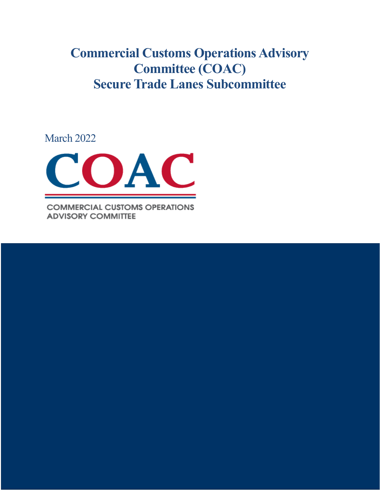**Commercial Customs Operations Advisory Committee (COAC) Secure Trade Lanes Subcommittee**

March 2022



**COMMERCIAL CUSTOMS OPERATIONS ADVISORY COMMITTEE** 

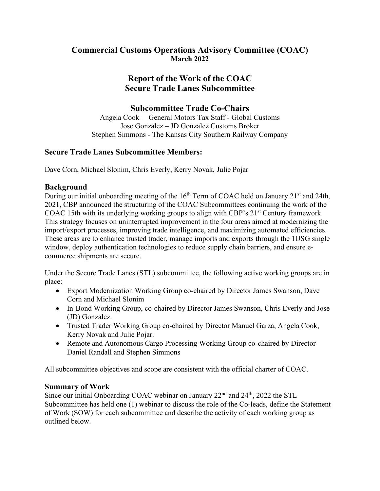### **Commercial Customs Operations Advisory Committee (COAC) March 2022**

# **Report of the Work of the COAC Secure Trade Lanes Subcommittee**

## **Subcommittee Trade Co-Chairs**

Angela Cook – General Motors Tax Staff - Global Customs Jose Gonzalez – JD Gonzalez Customs Broker Stephen Simmons - The Kansas City Southern Railway Company

### **Secure Trade Lanes Subcommittee Members:**

Dave Corn, Michael Slonim, Chris Everly, Kerry Novak, Julie Pojar

### **Background**

During our initial onboarding meeting of the  $16<sup>th</sup>$  Term of COAC held on January 21<sup>st</sup> and 24th, 2021, CBP announced the structuring of the COAC Subcommittees continuing the work of the COAC 15th with its underlying working groups to align with CBP's 21<sup>st</sup> Century framework. This strategy focuses on uninterrupted improvement in the four areas aimed at modernizing the import/export processes, improving trade intelligence, and maximizing automated efficiencies. These areas are to enhance trusted trader, manage imports and exports through the 1USG single window, deploy authentication technologies to reduce supply chain barriers, and ensure ecommerce shipments are secure.

Under the Secure Trade Lanes (STL) subcommittee, the following active working groups are in place:

- Export Modernization Working Group co-chaired by Director James Swanson, Dave Corn and Michael Slonim
- In-Bond Working Group, co-chaired by Director James Swanson, Chris Everly and Jose (JD) Gonzalez.
- Trusted Trader Working Group co-chaired by Director Manuel Garza, Angela Cook, Kerry Novak and Julie Pojar.
- Remote and Autonomous Cargo Processing Working Group co-chaired by Director Daniel Randall and Stephen Simmons

All subcommittee objectives and scope are consistent with the official charter of COAC.

### **Summary of Work**

Since our initial Onboarding COAC webinar on January  $22<sup>nd</sup>$  and  $24<sup>th</sup>$ , 2022 the STL Subcommittee has held one (1) webinar to discuss the role of the Co-leads, define the Statement of Work (SOW) for each subcommittee and describe the activity of each working group as outlined below.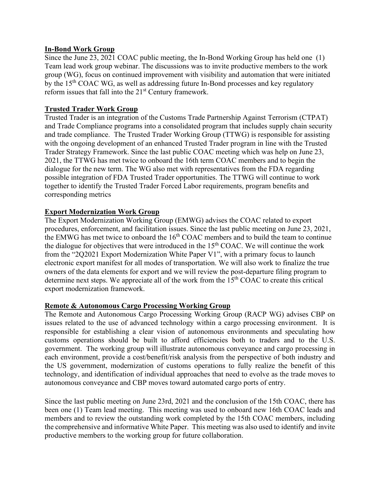#### **In-Bond Work Group**

Since the June 23, 2021 COAC public meeting, the In-Bond Working Group has held one (1) Team lead work group webinar. The discussions was to invite productive members to the work group (WG), focus on continued improvement with visibility and automation that were initiated by the 15th COAC WG, as well as addressing future In-Bond processes and key regulatory reform issues that fall into the 21<sup>st</sup> Century framework.

#### **Trusted Trader Work Group**

Trusted Trader is an integration of the Customs Trade Partnership Against Terrorism (CTPAT) and Trade Compliance programs into a consolidated program that includes supply chain security and trade compliance. The Trusted Trader Working Group (TTWG) is responsible for assisting with the ongoing development of an enhanced Trusted Trader program in line with the Trusted Trader Strategy Framework. Since the last public COAC meeting which was help on June 23, 2021, the TTWG has met twice to onboard the 16th term COAC members and to begin the dialogue for the new term. The WG also met with representatives from the FDA regarding possible integration of FDA Trusted Trader opportunities. The TTWG will continue to work together to identify the Trusted Trader Forced Labor requirements, program benefits and corresponding metrics

#### **Export Modernization Work Group**

The Export Modernization Working Group (EMWG) advises the COAC related to export procedures, enforcement, and facilitation issues. Since the last public meeting on June 23, 2021, the EMWG has met twice to onboard the  $16<sup>th</sup> COAC$  members and to build the team to continue the dialogue for objectives that were introduced in the  $15<sup>th</sup> COAC$ . We will continue the work from the "2Q2021 Export Modernization White Paper V1", with a primary focus to launch electronic export manifest for all modes of transportation. We will also work to finalize the true owners of the data elements for export and we will review the post-departure filing program to determine next steps. We appreciate all of the work from the  $15<sup>th</sup> COAC$  to create this critical export modernization framework.

#### **Remote & Autonomous Cargo Processing Working Group**

The Remote and Autonomous Cargo Processing Working Group (RACP WG) advises CBP on issues related to the use of advanced technology within a cargo processing environment. It is responsible for establishing a clear vision of autonomous environments and speculating how customs operations should be built to afford efficiencies both to traders and to the U.S. government. The working group will illustrate autonomous conveyance and cargo processing in each environment, provide a cost/benefit/risk analysis from the perspective of both industry and the US government, modernization of customs operations to fully realize the benefit of this technology, and identification of individual approaches that need to evolve as the trade moves to autonomous conveyance and CBP moves toward automated cargo ports of entry.

Since the last public meeting on June 23rd, 2021 and the conclusion of the 15th COAC, there has been one (1) Team lead meeting. This meeting was used to onboard new 16th COAC leads and members and to review the outstanding work completed by the 15th COAC members, including the comprehensive and informative White Paper. This meeting was also used to identify and invite productive members to the working group for future collaboration.